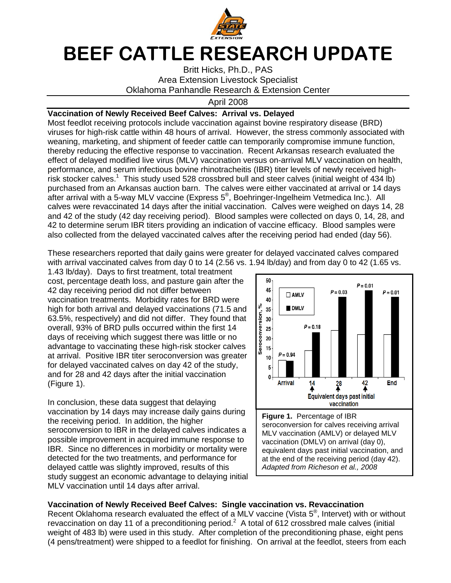

## **BEEF CATTLE RESEARCH UPDATE**

Britt Hicks, Ph.D., PAS Area Extension Livestock Specialist Oklahoma Panhandle Research & Extension Center

April 2008

## **Vaccination of Newly Received Beef Calves: Arrival vs. Delayed**

Most feedlot receiving protocols include vaccination against bovine respiratory disease (BRD) viruses for high-risk cattle within 48 hours of arrival. However, the stress commonly associated with weaning, marketing, and shipment of feeder cattle can temporarily compromise immune function, thereby reducing the effective response to vaccination. Recent Arkansas research evaluated the effect of delayed modified live virus (MLV) vaccination versus on-arrival MLV vaccination on health, performance, and serum infectious bovine rhinotracheitis (IBR) titer levels of newly received highrisk stocker calves.<sup>1</sup> This study used 528 crossbred bull and steer calves (initial weight of 434 lb) purchased from an Arkansas auction barn. The calves were either vaccinated at arrival or 14 days .<br>after arrival with a 5-way MLV vaccine (Express 5<sup>®</sup>, Boehringer-Ingelheim Vetmedica Inc.). All calves were revaccinated 14 days after the initial vaccination. Calves were weighed on days 14, 28 and 42 of the study (42 day receiving period). Blood samples were collected on days 0, 14, 28, and 42 to determine serum IBR titers providing an indication of vaccine efficacy. Blood samples were also collected from the delayed vaccinated calves after the receiving period had ended (day 56).

These researchers reported that daily gains were greater for delayed vaccinated calves compared with arrival vaccinated calves from day 0 to 14 (2.56 vs. 1.94 lb/day) and from day 0 to 42 (1.65 vs.

1.43 lb/day). Days to first treatment, total treatment cost, percentage death loss, and pasture gain after the 42 day receiving period did not differ between vaccination treatments. Morbidity rates for BRD were high for both arrival and delayed vaccinations (71.5 and 63.5%, respectively) and did not differ. They found that overall, 93% of BRD pulls occurred within the first 14 days of receiving which suggest there was little or no advantage to vaccinating these high-risk stocker calves at arrival. Positive IBR titer seroconversion was greater for delayed vaccinated calves on day 42 of the study, and for 28 and 42 days after the initial vaccination (Figure 1).

In conclusion, these data suggest that delaying vaccination by 14 days may increase daily gains during the receiving period. In addition, the higher seroconversion to IBR in the delayed calves indicates a possible improvement in acquired immune response to IBR. Since no differences in morbidity or mortality were detected for the two treatments, and performance for delayed cattle was slightly improved, results of this study suggest an economic advantage to delaying initial MLV vaccination until 14 days after arrival.



## **Vaccination of Newly Received Beef Calves: Single vaccination vs. Revaccination**

Recent Oklahoma research evaluated the effect of a MLV vaccine (Vista  $5^\circ$ , Intervet) with or without revaccination on day 11 of a preconditioning period.<sup>2</sup> A total of 612 crossbred male calves (initial weight of 483 lb) were used in this study. After completion of the preconditioning phase, eight pens (4 pens/treatment) were shipped to a feedlot for finishing. On arrival at the feedlot, steers from each